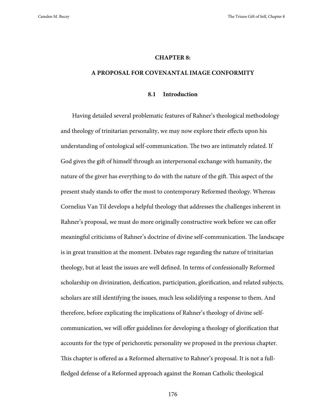#### **CHAPTER 8:**

### **A PROPOSAL FOR COVENANTAL IMAGE CONFORMITY**

## **8.1 Introduction**

Having detailed several problematic features of Rahner's theological methodology and theology of trinitarian personality, we may now explore their effects upon his understanding of ontological self-communication. The two are intimately related. If God gives the gift of himself through an interpersonal exchange with humanity, the nature of the giver has everything to do with the nature of the gift. This aspect of the present study stands to offer the most to contemporary Reformed theology. Whereas Cornelius Van Til develops a helpful theology that addresses the challenges inherent in Rahner's proposal, we must do more originally constructive work before we can offer meaningful criticisms of Rahner's doctrine of divine self-communication. The landscape is in great transition at the moment. Debates rage regarding the nature of trinitarian theology, but at least the issues are well defined. In terms of confessionally Reformed scholarship on divinization, deification, participation, glorification, and related subjects, scholars are still identifying the issues, much less solidifying a response to them. And therefore, before explicating the implications of Rahner's theology of divine selfcommunication, we will offer guidelines for developing a theology of glorification that accounts for the type of perichoretic personality we proposed in the previous chapter. This chapter is offered as a Reformed alternative to Rahner's proposal. It is not a fullfledged defense of a Reformed approach against the Roman Catholic theological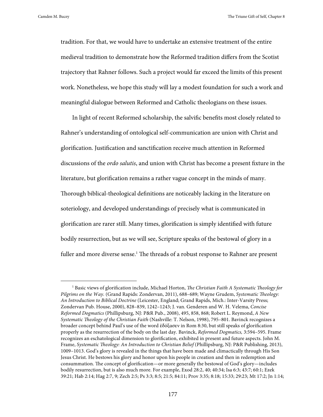tradition. For that, we would have to undertake an extensive treatment of the entire medieval tradition to demonstrate how the Reformed tradition differs from the Scotist trajectory that Rahner follows. Such a project would far exceed the limits of this present work. Nonetheless, we hope this study will lay a modest foundation for such a work and meaningful dialogue between Reformed and Catholic theologians on these issues.

In light of recent Reformed scholarship, the salvific benefits most closely related to Rahner's understanding of ontological self-communication are union with Christ and glorification. Justification and sanctification receive much attention in Reformed discussions of the *ordo salutis*, and union with Christ has become a present fixture in the literature, but glorification remains a rather vague concept in the minds of many. Thorough biblical-theological definitions are noticeably lacking in the literature on soteriology, and developed understandings of precisely what is communicated in glorification are rarer still. Many times, glorification is simply identified with future bodily resurrection, but as we will see, Scripture speaks of the bestowal of glory in a fuller and more diverse sense.<sup>1</sup> The threads of a robust response to Rahner are present

 <sup>1</sup> Basic views of glorification include, Michael Horton, *The Christian Faith A Systematic Theology for Pilgrims on the Way.* (Grand Rapids: Zondervan, 2011), 688–689; Wayne Grudem, *Systematic Theology: An Introduction to Biblical Doctrine* (Leicester, England; Grand Rapids, Mich.: Inter-Varsity Press; Zondervan Pub. House, 2000), 828–839, 1242–1243; J. van. Genderen and W. H. Velema, *Concise Reformed Dogmatics* (Phillipsburg, NJ: P&R Pub., 2008), 495, 858, 868; Robert L. Reymond, *A New Systematic Theology of the Christian Faith* (Nashville: T. Nelson, 1998), 795–801. Bavinck recognizes a broader concept behind Paul's use of the word ἐδόξασεν in Rom 8:30, but still speaks of glorification properly as the resurrection of the body on the last day. Bavinck, *Reformed Dogmatics,* 3:594–595. Frame recognizes an eschatological dimension to glorification, exhibited in present and future aspects. John M. Frame, *Systematic Theology: An Introduction to Christian Belief* (Phillipsburg, NJ: P&R Publishing, 2013), 1009–1013. God's glory is revealed in the things that have been made and climactically through His Son Jesus Christ. He bestows his glory and honor upon his people in creation and then in redemption and consummation. The concept of glorification—or more generally the bestowal of God's glory—includes bodily resurrection, but is also much more. For example, Exod 28:2, 40; 40:34; Isa 6:3; 43:7; 60:1; Ezek 39:21; Hab 2:14; Hag 2:7, 9; Zech 2:5; Ps 3:3; 8:5; 21:5; 84:11; Prov 3:35; 8:18; 15:33; 29:23; Mt 17:2; Jn 1:14;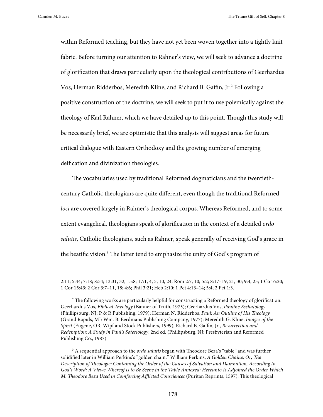-

Camden M. Bucey The Triune Gift of Self, Chapter 8

within Reformed teaching, but they have not yet been woven together into a tightly knit fabric. Before turning our attention to Rahner's view, we will seek to advance a doctrine of glorification that draws particularly upon the theological contributions of Geerhardus Vos, Herman Ridderbos, Meredith Kline, and Richard B. Gaffin, Jr.2 Following a positive construction of the doctrine, we will seek to put it to use polemically against the theology of Karl Rahner, which we have detailed up to this point. Though this study will be necessarily brief, we are optimistic that this analysis will suggest areas for future critical dialogue with Eastern Orthodoxy and the growing number of emerging deification and divinization theologies.

The vocabularies used by traditional Reformed dogmaticians and the twentiethcentury Catholic theologians are quite different, even though the traditional Reformed *loci* are covered largely in Rahner's theological corpus. Whereas Reformed, and to some extent evangelical, theologians speak of glorification in the context of a detailed *ordo salutis*, Catholic theologians, such as Rahner, speak generally of receiving God's grace in the beatific vision.3 The latter tend to emphasize the unity of God's program of

<sup>2:11; 5:44; 7:18; 8:54; 13:31, 32; 15:8; 17:1, 4, 5, 10, 24;</sup> Rom 2:7, 10; 5:2; 8:17–19, 21, 30; 9:4, 23; 1 Cor 6:20; 1 Cor 15:43; 2 Cor 3:7–11, 18; 4:6; Phil 3:21; Heb 2:10; 1 Pet 4:13–14; 5:4; 2 Pet 1:3.

<sup>2</sup> The following works are particularly helpful for constructing a Reformed theology of glorification: Geerhardus Vos, *Biblical Theology* (Banner of Truth, 1975); Geerhardus Vos, *Pauline Eschatology* (Phillipsburg, NJ: P & R Publishing, 1979); Herman N. Ridderbos, *Paul: An Outline of His Theology* (Grand Rapids, MI: Wm. B. Eerdmans Publishing Company, 1977); Meredith G. Kline, *Images of the Spirit* (Eugene, OR: Wipf and Stock Publishers, 1999); Richard B. Gaffin, Jr., *Resurrection and Redemption: A Study in Paul's Soteriology*, 2nd ed. (Phillipsburg, NJ: Presbyterian and Reformed Publishing Co., 1987).

<sup>3</sup> A sequential approach to the *ordo salutis* began with Theodore Beza's "table" and was further solidified later in William Perkins's "golden chain." William Perkins, *A Golden Chaine, Or, The Description of Theologie: Containing the Order of the Causes of Salvation and Damnation, According to God's Word: A Viewe Whereof Is to Be Seene in the Table Annexed; Hereunto Is Adjoined the Order Which M. Theodore Beza Used in Comforting Afflicted Consciences* (Puritan Reprints, 1597). This theological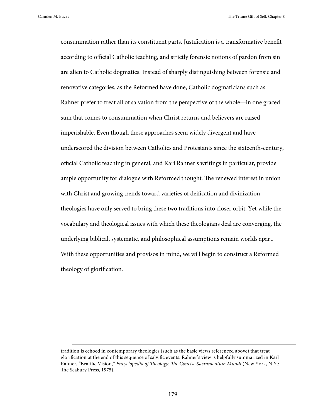-

Camden M. Bucey The Triune Gift of Self, Chapter 8

consummation rather than its constituent parts. Justification is a transformative benefit according to official Catholic teaching, and strictly forensic notions of pardon from sin are alien to Catholic dogmatics. Instead of sharply distinguishing between forensic and renovative categories, as the Reformed have done, Catholic dogmaticians such as Rahner prefer to treat all of salvation from the perspective of the whole—in one graced sum that comes to consummation when Christ returns and believers are raised imperishable. Even though these approaches seem widely divergent and have underscored the division between Catholics and Protestants since the sixteenth-century, official Catholic teaching in general, and Karl Rahner's writings in particular, provide ample opportunity for dialogue with Reformed thought. The renewed interest in union with Christ and growing trends toward varieties of deification and divinization theologies have only served to bring these two traditions into closer orbit. Yet while the vocabulary and theological issues with which these theologians deal are converging, the underlying biblical, systematic, and philosophical assumptions remain worlds apart. With these opportunities and provisos in mind, we will begin to construct a Reformed theology of glorification.

tradition is echoed in contemporary theologies (such as the basic views referenced above) that treat glorification at the end of this sequence of salvific events. Rahner's view is helpfully summarized in Karl Rahner, "Beatific Vision," *Encyclopedia of Theology: The Concise Sacramentum Mundi* (New York, N.Y.: The Seabury Press, 1975).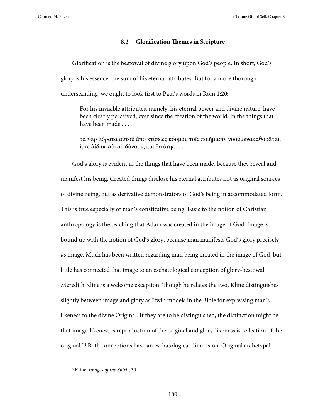## **8.2 Glorification Themes in Scripture**

Glorification is the bestowal of divine glory upon God's people. In short, God's glory is his essence, the sum of his eternal attributes. But for a more thorough understanding, we ought to look first to Paul's words in Rom 1:20:

For his invisible attributes, namely, his eternal power and divine nature, have been clearly perceived, ever since the creation of the world, in the things that have been made . . .

τὰ γὰρ ἀόρατα αὐτοῦ ἀπὸ κτίσεως κόσμου τοῖς ποιήμασιν νοούμενακαθορᾶται, ἥ τε ἀΐδιος αὐτοῦ δύναμις καὶ θειότης . . .

God's glory is evident in the things that have been made, because they reveal and manifest his being. Created things disclose his eternal attributes not as original sources of divine being, but as derivative demonstrators of God's being in accommodated form. This is true especially of man's constitutive being. Basic to the notion of Christian anthropology is the teaching that Adam was created in the image of God. Image is bound up with the notion of God's glory, because man manifests God's glory precisely *as* image. Much has been written regarding man being created in the image of God, but little has connected that image to an eschatological conception of glory-bestowal. Meredith Kline is a welcome exception. Though he relates the two, Kline distinguishes slightly between image and glory as "twin models in the Bible for expressing man's likeness to the divine Original. If they are to be distinguished, the distinction might be that image-likeness is reproduction of the original and glory-likeness is reflection of the original."4 Both conceptions have an eschatological dimension. Original archetypal

 <sup>4</sup> Kline, *Images of the Spirit*, 30.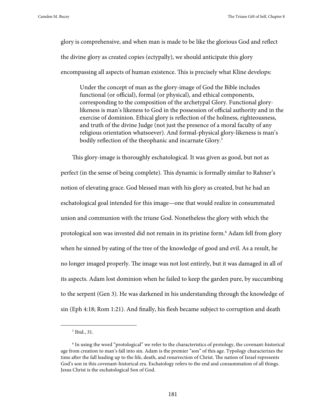glory is comprehensive, and when man is made to be like the glorious God and reflect the divine glory as created copies (ectypally), we should anticipate this glory encompassing all aspects of human existence. This is precisely what Kline develops:

Under the concept of man as the glory-image of God the Bible includes functional (or official), formal (or physical), and ethical components, corresponding to the composition of the archetypal Glory. Functional glorylikeness is man's likeness to God in the possession of official authority and in the exercise of dominion. Ethical glory is reflection of the holiness, righteousness, and truth of the divine Judge (not just the presence of a moral faculty of any religious orientation whatsoever). And formal-physical glory-likeness is man's bodily reflection of the theophanic and incarnate Glory.<sup>5</sup>

This glory-image is thoroughly eschatological. It was given as good, but not as perfect (in the sense of being complete). This dynamic is formally similar to Rahner's notion of elevating grace. God blessed man with his glory as created, but he had an eschatological goal intended for this image—one that would realize in consummated union and communion with the triune God. Nonetheless the glory with which the protological son was invested did not remain in its pristine form.6 Adam fell from glory when he sinned by eating of the tree of the knowledge of good and evil. As a result, he no longer imaged properly. The image was not lost entirely, but it was damaged in all of its aspects. Adam lost dominion when he failed to keep the garden pure, by succumbing to the serpent (Gen 3). He was darkened in his understanding through the knowledge of sin (Eph 4:18; Rom 1:21). And finally, his flesh became subject to corruption and death

 <sup>5</sup> Ibid., 31.

<sup>6</sup> In using the word "protological" we refer to the characteristics of protology, the covenant-historical age from creation to man's fall into sin. Adam is the premier "son" of this age. Typology characterizes the time after the fall leading up to the life, death, and resurrection of Christ. The nation of Israel represents God's son in this covenant-historical era. Eschatology refers to the end and consummation of all things. Jesus Christ is the eschatological Son of God.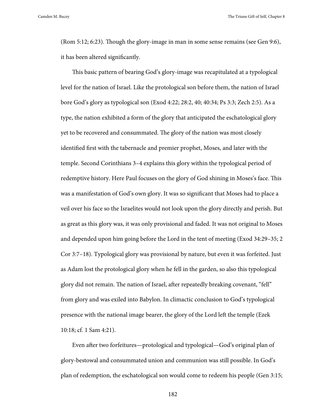(Rom 5:12; 6:23). Though the glory-image in man in some sense remains (see Gen 9:6), it has been altered significantly.

This basic pattern of bearing God's glory-image was recapitulated at a typological level for the nation of Israel. Like the protological son before them, the nation of Israel bore God's glory as typological son (Exod 4:22; 28:2, 40; 40:34; Ps 3:3; Zech 2:5). As a type, the nation exhibited a form of the glory that anticipated the eschatological glory yet to be recovered and consummated. The glory of the nation was most closely identified first with the tabernacle and premier prophet, Moses, and later with the temple. Second Corinthians 3–4 explains this glory within the typological period of redemptive history. Here Paul focuses on the glory of God shining in Moses's face. This was a manifestation of God's own glory. It was so significant that Moses had to place a veil over his face so the Israelites would not look upon the glory directly and perish. But as great as this glory was, it was only provisional and faded. It was not original to Moses and depended upon him going before the Lord in the tent of meeting (Exod 34:29–35; 2 Cor 3:7–18). Typological glory was provisional by nature, but even it was forfeited. Just as Adam lost the protological glory when he fell in the garden, so also this typological glory did not remain. The nation of Israel, after repeatedly breaking covenant, "fell" from glory and was exiled into Babylon. In climactic conclusion to God's typological presence with the national image bearer, the glory of the Lord left the temple (Ezek 10:18; cf. 1 Sam 4:21).

Even after two forfeitures—protological and typological—God's original plan of glory-bestowal and consummated union and communion was still possible. In God's plan of redemption, the eschatological son would come to redeem his people (Gen 3:15;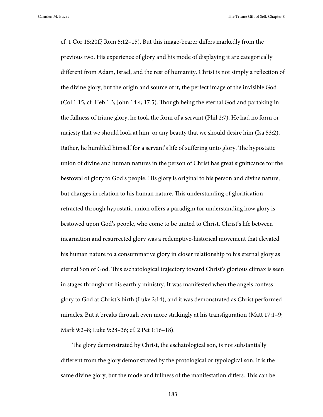cf. 1 Cor 15:20ff; Rom 5:12–15). But this image-bearer differs markedly from the previous two. His experience of glory and his mode of displaying it are categorically different from Adam, Israel, and the rest of humanity. Christ is not simply a reflection of the divine glory, but the origin and source of it, the perfect image of the invisible God (Col 1:15; cf. Heb 1:3; John 14:4; 17:5). Though being the eternal God and partaking in the fullness of triune glory, he took the form of a servant (Phil 2:7). He had no form or majesty that we should look at him, or any beauty that we should desire him (Isa 53:2). Rather, he humbled himself for a servant's life of suffering unto glory. The hypostatic union of divine and human natures in the person of Christ has great significance for the bestowal of glory to God's people. His glory is original to his person and divine nature, but changes in relation to his human nature. This understanding of glorification refracted through hypostatic union offers a paradigm for understanding how glory is bestowed upon God's people, who come to be united to Christ. Christ's life between incarnation and resurrected glory was a redemptive-historical movement that elevated his human nature to a consummative glory in closer relationship to his eternal glory as eternal Son of God. This eschatological trajectory toward Christ's glorious climax is seen in stages throughout his earthly ministry. It was manifested when the angels confess glory to God at Christ's birth (Luke 2:14), and it was demonstrated as Christ performed miracles. But it breaks through even more strikingly at his transfiguration (Matt 17:1–9; Mark 9:2–8; Luke 9:28–36; cf. 2 Pet 1:16–18).

The glory demonstrated by Christ, the eschatological son, is not substantially different from the glory demonstrated by the protological or typological son. It is the same divine glory, but the mode and fullness of the manifestation differs. This can be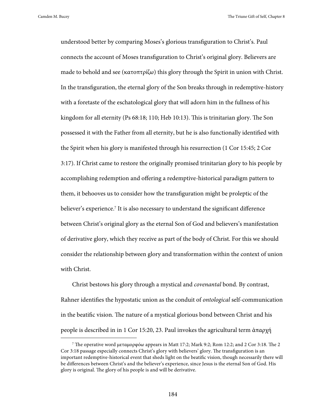understood better by comparing Moses's glorious transfiguration to Christ's. Paul connects the account of Moses transfiguration to Christ's original glory. Believers are made to behold and see (κατοπτρίζω) this glory through the Spirit in union with Christ. In the transfiguration, the eternal glory of the Son breaks through in redemptive-history with a foretaste of the eschatological glory that will adorn him in the fullness of his kingdom for all eternity (Ps 68:18; 110; Heb 10:13). This is trinitarian glory. The Son possessed it with the Father from all eternity, but he is also functionally identified with the Spirit when his glory is manifested through his resurrection (1 Cor 15:45; 2 Cor 3:17). If Christ came to restore the originally promised trinitarian glory to his people by accomplishing redemption and offering a redemptive-historical paradigm pattern to them, it behooves us to consider how the transfiguration might be proleptic of the believer's experience.<sup>7</sup> It is also necessary to understand the significant difference between Christ's original glory as the eternal Son of God and believers's manifestation of derivative glory, which they receive as part of the body of Christ. For this we should consider the relationship between glory and transformation within the context of union with Christ.

Christ bestows his glory through a mystical and *covenantal* bond. By contrast, Rahner identifies the hypostatic union as the conduit of *ontological* self-communication in the beatific vision. The nature of a mystical glorious bond between Christ and his people is described in in 1 Cor 15:20, 23. Paul invokes the agricultural term ἀπαρχή

 <sup>7</sup> The operative word μεταμορφόω appears in Matt 17:2; Mark 9:2; Rom 12:2; and 2 Cor 3:18. The 2 Cor 3:18 passage especially connects Christ's glory with believers' glory. The transfiguration is an important redemptive-historical event that sheds light on the beatific vision, though necessarily there will be differences between Christ's and the believer's experience, since Jesus is the eternal Son of God. His glory is original. The glory of his people is and will be derivative.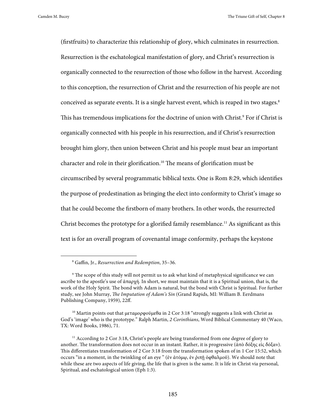(firstfruits) to characterize this relationship of glory, which culminates in resurrection. Resurrection is the eschatological manifestation of glory, and Christ's resurrection is organically connected to the resurrection of those who follow in the harvest. According to this conception, the resurrection of Christ and the resurrection of his people are not conceived as separate events. It is a single harvest event, which is reaped in two stages.<sup>8</sup> This has tremendous implications for the doctrine of union with Christ.<sup>9</sup> For if Christ is organically connected with his people in his resurrection, and if Christ's resurrection brought him glory, then union between Christ and his people must bear an important character and role in their glorification.10 The means of glorification must be circumscribed by several programmatic biblical texts. One is Rom 8:29, which identifies the purpose of predestination as bringing the elect into conformity to Christ's image so that he could become the firstborn of many brothers. In other words, the resurrected Christ becomes the prototype for a glorified family resemblance.<sup>11</sup> As significant as this text is for an overall program of covenantal image conformity, perhaps the keystone

 <sup>8</sup> Gaffin, Jr., *Resurrection and Redemption*, 35–36.

<sup>9</sup> The scope of this study will not permit us to ask what kind of metaphysical significance we can ascribe to the apostle's use of ἀπαρχή. In short, we must maintain that it is a Spiritual union, that is, the work of the Holy Spirit. The bond with Adam is natural, but the bond with Christ is Spiritual. For further study, see John Murray, *The Imputation of Adam's Sin* (Grand Rapids, MI: William B. Eerdmans Publishing Company, 1959), 22ff.

<sup>&</sup>lt;sup>10</sup> Martin points out that μεταμορφούμεθα in 2 Cor 3:18 "strongly suggests a link with Christ as God's 'image' who is the prototype." Ralph Martin, *2 Corinthians*, Word Biblical Commentary 40 (Waco, TX: Word Books, 1986), 71.

<sup>&</sup>lt;sup>11</sup> According to 2 Cor 3:18, Christ's people are being transformed from one degree of glory to another. The transformation does not occur in an instant. Rather, it is progressive (ἀπὸ δόξης εἰς δόξαν). This differentiates transformation of 2 Cor 3:18 from the transformation spoken of in 1 Cor 15:52, which occurs "in a moment, in the twinkling of an eye " (ἐν ἀτόμῳ, ἐν ῥιπῇ ὀφθαλμοῦ). We should note that while these are two aspects of life giving, the life that is given is the same. It is life in Christ via personal, Spiritual, and eschatological union (Eph 1:3).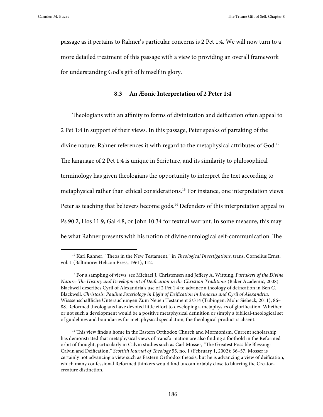passage as it pertains to Rahner's particular concerns is 2 Pet 1:4. We will now turn to a more detailed treatment of this passage with a view to providing an overall framework for understanding God's gift of himself in glory.

## **8.3 An Æonic Interpretation of 2 Peter 1:4**

Theologians with an affinity to forms of divinization and deification often appeal to 2 Pet 1:4 in support of their views. In this passage, Peter speaks of partaking of the divine nature. Rahner references it with regard to the metaphysical attributes of God.<sup>12</sup> The language of 2 Pet 1:4 is unique in Scripture, and its similarity to philosophical terminology has given theologians the opportunity to interpret the text according to metaphysical rather than ethical considerations.13 For instance, one interpretation views Peter as teaching that believers become gods.<sup>14</sup> Defenders of this interpretation appeal to Ps 90:2, Hos 11:9, Gal 4:8, or John 10:34 for textual warrant. In some measure, this may be what Rahner presents with his notion of divine ontological self-communication. The

 <sup>12</sup> Karl Rahner, "Theos in the New Testament," in *Theological Investigations*, trans. Cornelius Ernst, vol. 1 (Baltimore: Helicon Press, 1961), 112.

<sup>13</sup> For a sampling of views, see Michael J. Christensen and Jeffery A. Wittung, *Partakers of the Divine Nature: The History and Development of Deification in the Christian Traditions* (Baker Academic, 2008). Blackwell describes Cyril of Alexandria's use of 2 Pet 1:4 to advance a theology of deification in Ben C. Blackwell, *Christosis: Pauline Soteriology in Light of Deification in Irenaeus and Cyril of Alexandria*, Wisssenschaftliche Untersuchungen Zum Neuen Testament 2/314 (Tübingen: Mohr Siebeck, 2011), 86– 88. Reformed theologians have devoted little effort to developing a metaphysics of glorification. Whether or not such a development would be a positive metaphysical definition or simply a biblical-theological set of guidelines and boundaries for metaphysical speculation, the theological product is absent.

<sup>&</sup>lt;sup>14</sup> This view finds a home in the Eastern Orthodox Church and Mormonism. Current scholarship has demonstrated that metaphysical views of transformation are also finding a foothold in the Reformed orbit of thought, particularly in Calvin studies such as Carl Mosser, "The Greatest Possible Blessing: Calvin and Deification," *Scottish Journal of Theology* 55, no. 1 (February 1, 2002): 36–57. Mosser is certainly not advancing a view such as Eastern Orthodox theosis, but he is advancing a view of deification, which many confessional Reformed thinkers would find uncomfortably close to blurring the Creatorcreature distinction.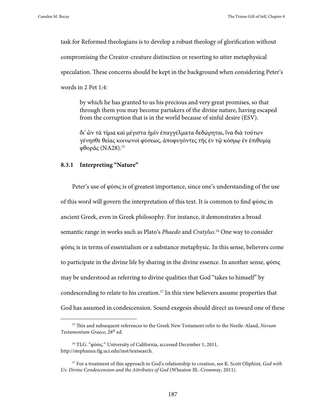task for Reformed theologians is to develop a robust theology of glorification without compromising the Creator-creature distinction or resorting to utter metaphysical speculation. These concerns should be kept in the background when considering Peter's words in 2 Pet 1:4:

by which he has granted to us his precious and very great promises, so that through them you may become partakers of the divine nature, having escaped from the corruption that is in the world because of sinful desire (ESV).

δι' ὧν τὰ τίμια καὶ μέγιστα ἡμῖν ἐπαγγέλματα δεδώρηται, ἵνα διὰ τούτων γένησθε θείας κοινωνοὶ φύσεως, ἀποφυγόντες τῆς ἐν τῷ κόσμῳ ἐν ἐπιθυμίᾳ φθορᾶς (NA28).15

# **8.3.1 Interpreting "Nature"**

Peter's use of φύσις is of greatest importance, since one's understanding of the use of this word will govern the interpretation of this text. It is common to find φύσις in ancient Greek, even in Greek philosophy. For instance, it demonstrates a broad semantic range in works such as Plato's *Phaedo* and *Cratylus.*16 One way to consider φύσις is in terms of essentialism or a substance metaphysic. In this sense, believers come to participate in the divine life by sharing in the divine essence. In another sense, φύσις may be understood as referring to divine qualities that God "takes to himself" by condescending to relate to his creation.17 In this view believers assume properties that God has assumed in condescension. Sound exegesis should direct us toward one of these

 <sup>15</sup> This and subsequent references to the Greek New Testament refer to the Nestle-Aland, *Novum Testamentum Graece*, 28th ed.

<sup>&</sup>lt;sup>16</sup> TLG. "φύσις." University of California, accessed December 1, 2011, http://stephanus.tlg.uci.edu/inst/textsearch.

<sup>17</sup> For a treatment of this approach to God's relationship to creation, see K. Scott Oliphint, *God with Us: Divine Condescension and the Attributes of God* (Wheaton Ill.: Crossway, 2011).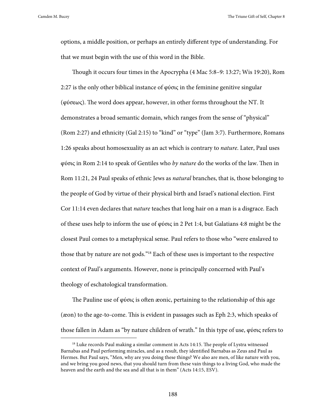options, a middle position, or perhaps an entirely different type of understanding. For that we must begin with the use of this word in the Bible.

Though it occurs four times in the Apocrypha (4 Mac 5:8–9: 13:27; Wis 19:20), Rom 2:27 is the only other biblical instance of  $\phi\phi\sigma\zeta$  in the feminine genitive singular (φύσεως). The word does appear, however, in other forms throughout the NT. It demonstrates a broad semantic domain, which ranges from the sense of "physical" (Rom 2:27) and ethnicity (Gal 2:15) to "kind" or "type" (Jam 3:7). Furthermore, Romans 1:26 speaks about homosexuality as an act which is contrary to *nature*. Later, Paul uses φύσις in Rom 2:14 to speak of Gentiles who *by nature* do the works of the law. Then in Rom 11:21, 24 Paul speaks of ethnic Jews as *natural* branches, that is, those belonging to the people of God by virtue of their physical birth and Israel's national election. First Cor 11:14 even declares that *nature* teaches that long hair on a man is a disgrace. Each of these uses help to inform the use of φύσις in 2 Pet 1:4, but Galatians 4:8 might be the closest Paul comes to a metaphysical sense. Paul refers to those who "were enslaved to those that by nature are not gods."18 Each of these uses is important to the respective context of Paul's arguments. However, none is principally concerned with Paul's theology of eschatological transformation.

The Pauline use of φύσις is often æonic, pertaining to the relationship of this age (æon) to the age-to-come. This is evident in passages such as Eph 2:3, which speaks of those fallen in Adam as "by nature children of wrath." In this type of use, φύσις refers to

<sup>&</sup>lt;sup>18</sup> Luke records Paul making a similar comment in Acts 14:15. The people of Lystra witnessed Barnabas and Paul performing miracles, and as a result, they identified Barnabas as Zeus and Paul as Hermes. But Paul says, "Men, why are you doing these things? We also are men, of like nature with you, and we bring you good news, that you should turn from these vain things to a living God, who made the heaven and the earth and the sea and all that is in them" (Acts 14:15, ESV).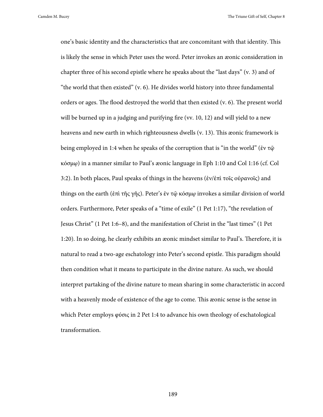one's basic identity and the characteristics that are concomitant with that identity. This is likely the sense in which Peter uses the word. Peter invokes an æonic consideration in chapter three of his second epistle where he speaks about the "last days" (v. 3) and of "the world that then existed" (v. 6). He divides world history into three fundamental orders or ages. The flood destroyed the world that then existed (v. 6). The present world will be burned up in a judging and purifying fire (vv. 10, 12) and will yield to a new heavens and new earth in which righteousness dwells (v. 13). This æonic framework is being employed in 1:4 when he speaks of the corruption that is "in the world" (ἐν τῷ κόσμῳ) in a manner similar to Paul's æonic language in Eph 1:10 and Col 1:16 (cf. Col 3:2). In both places, Paul speaks of things in the heavens (ἐν/ἐπὶ τοῖς οὐρανοῖς) and things on the earth (ἐπὶ τῆς γῆς). Peter's ἐν τῷ κόσμῳ invokes a similar division of world orders. Furthermore, Peter speaks of a "time of exile" (1 Pet 1:17), "the revelation of Jesus Christ" (1 Pet 1:6–8), and the manifestation of Christ in the "last times" (1 Pet 1:20). In so doing, he clearly exhibits an æonic mindset similar to Paul's. Therefore, it is natural to read a two-age eschatology into Peter's second epistle. This paradigm should then condition what it means to participate in the divine nature. As such, we should interpret partaking of the divine nature to mean sharing in some characteristic in accord with a heavenly mode of existence of the age to come. This æonic sense is the sense in which Peter employs φύσις in 2 Pet 1:4 to advance his own theology of eschatological transformation.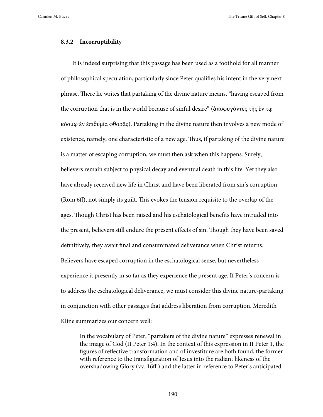## **8.3.2 Incorruptibility**

It is indeed surprising that this passage has been used as a foothold for all manner of philosophical speculation, particularly since Peter qualifies his intent in the very next phrase. There he writes that partaking of the divine nature means, "having escaped from the corruption that is in the world because of sinful desire" (ἀποφυγόντες τῆς ἐν τῷ κόσμῳ ἐν ἐπιθυμίᾳ φθορᾶς). Partaking in the divine nature then involves a new mode of existence, namely, one characteristic of a new age. Thus, if partaking of the divine nature is a matter of escaping corruption, we must then ask when this happens. Surely, believers remain subject to physical decay and eventual death in this life. Yet they also have already received new life in Christ and have been liberated from sin's corruption (Rom 6ff), not simply its guilt. This evokes the tension requisite to the overlap of the ages. Though Christ has been raised and his eschatological benefits have intruded into the present, believers still endure the present effects of sin. Though they have been saved definitively, they await final and consummated deliverance when Christ returns. Believers have escaped corruption in the eschatological sense, but nevertheless experience it presently in so far as they experience the present age. If Peter's concern is to address the eschatological deliverance, we must consider this divine nature-partaking in conjunction with other passages that address liberation from corruption. Meredith Kline summarizes our concern well:

In the vocabulary of Peter, "partakers of the divine nature" expresses renewal in the image of God (II Peter 1:4). In the context of this expression in II Peter 1, the figures of reflective transformation and of investiture are both found, the former with reference to the transfiguration of Jesus into the radiant likeness of the overshadowing Glory (vv. 16ff.) and the latter in reference to Peter's anticipated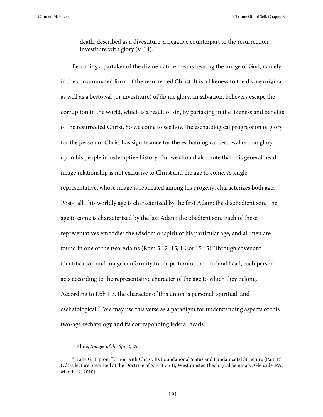death, described as a divestiture, a negative counterpart to the resurrection investiture with glory (v. 14).<sup>19</sup>

Becoming a partaker of the divine nature means bearing the image of God, namely in the consummated form of the resurrected Christ. It is a likeness to the divine original as well as a bestowal (or investiture) of divine glory. In salvation, believers escape the corruption in the world, which is a result of sin, by partaking in the likeness and benefits of the resurrected Christ. So we come to see how the eschatological progression of glory for the person of Christ has significance for the eschatological bestowal of that glory upon his people in redemptive history. But we should also note that this general headimage relationship is not exclusive to Christ and the age to come. A single representative, whose image is replicated among his progeny, characterizes both ages. Post-Fall, this worldly age is characterized by the first Adam: the disobedient son. The age to come is characterized by the last Adam: the obedient son. Each of these representatives embodies the wisdom or spirit of his particular age, and all men are found in one of the two Adams (Rom 5:12–15; 1 Cor 15:45). Through covenant identification and image conformity to the pattern of their federal head, each person acts according to the representative character of the age to which they belong. According to Eph 1:3, the character of this union is personal, spiritual, and eschatological.<sup>20</sup> We may use this verse as a paradigm for understanding aspects of this two-age eschatology and its corresponding federal heads:

 <sup>19</sup> Kline, *Images of the Spirit*, 29.

<sup>&</sup>lt;sup>20</sup> Lane G. Tipton, "Union with Christ: Its Foundational Status and Fundamental Structure (Part 1)" (Class lecture presented at the Doctrine of Salvation II, Westminster Theological Seminary, Glenside, PA, March 12, 2010).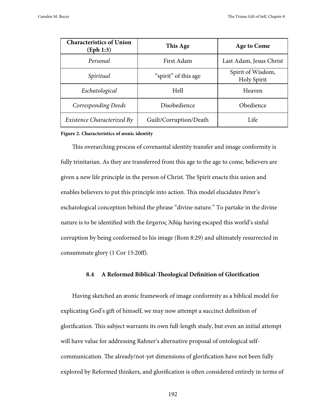| <b>Characteristics of Union</b><br>(Eph 1:3) | This Age               | <b>Age to Come</b>               |
|----------------------------------------------|------------------------|----------------------------------|
| Personal                                     | First Adam             | Last Adam, Jesus Christ          |
| Spiritual                                    | "spirit" of this age   | Spirit of Wisdom,<br>Holy Spirit |
| Eschatological                               | Hell                   | Heaven                           |
| Corresponding Deeds                          | Disobedience           | Obedience                        |
| Existence Characterized By                   | Guilt/Corruption/Death | Life                             |

#### **Figure 2. Characteristics of æonic identity**

This overarching process of covenantal identity transfer and image conformity is fully trinitarian. As they are transferred from this age to the age to come, believers are given a new life principle in the person of Christ. The Spirit enacts this union and enables believers to put this principle into action. This model elucidates Peter's eschatological conception behind the phrase "divine nature." To partake in the divine nature is to be identified with the ἔσχατος Ἀδὰμ having escaped this world's sinful corruption by being conformed to his image (Rom 8:29) and ultimately resurrected in consummate glory (1 Cor 15:20ff).

# **8.4 A Reformed Biblical-Theological Definition of Glorification**

Having sketched an æonic framework of image conformity as a biblical model for explicating God's gift of himself, we may now attempt a succinct definition of glorification. This subject warrants its own full-length study, but even an initial attempt will have value for addressing Rahner's alternative proposal of ontological selfcommunication. The already/not-yet dimensions of glorification have not been fully explored by Reformed thinkers, and glorification is often considered entirely in terms of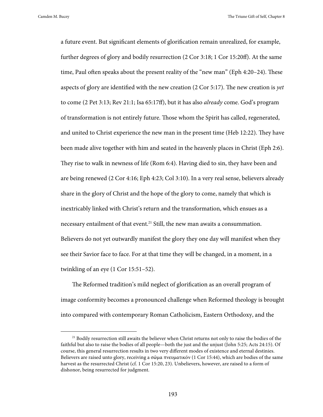a future event. But significant elements of glorification remain unrealized, for example, further degrees of glory and bodily resurrection (2 Cor 3:18; 1 Cor 15:20ff). At the same time, Paul often speaks about the present reality of the "new man" (Eph 4:20–24). These aspects of glory are identified with the new creation (2 Cor 5:17). The new creation is *yet* to come (2 Pet 3:13; Rev 21:1; Isa 65:17ff), but it has also *already* come. God's program of transformation is not entirely future. Those whom the Spirit has called, regenerated, and united to Christ experience the new man in the present time (Heb 12:22). They have been made alive together with him and seated in the heavenly places in Christ (Eph 2:6). They rise to walk in newness of life (Rom 6:4). Having died to sin, they have been and are being renewed (2 Cor 4:16; Eph 4:23; Col 3:10). In a very real sense, believers already share in the glory of Christ and the hope of the glory to come, namely that which is inextricably linked with Christ's return and the transformation, which ensues as a necessary entailment of that event.21 Still, the new man awaits a consummation. Believers do not yet outwardly manifest the glory they one day will manifest when they see their Savior face to face. For at that time they will be changed, in a moment, in a twinkling of an eye (1 Cor 15:51–52).

The Reformed tradition's mild neglect of glorification as an overall program of image conformity becomes a pronounced challenge when Reformed theology is brought into compared with contemporary Roman Catholicism, Eastern Orthodoxy, and the

<sup>&</sup>lt;sup>21</sup> Bodily resurrection still awaits the believer when Christ returns not only to raise the bodies of the faithful but also to raise the bodies of all people—both the just and the unjust (John 5:25; Acts 24:15). Of course, this general resurrection results in two very different modes of existence and eternal destinies. Believers are raised unto glory, receiving a σῶμα πνευματικόν (1 Cor 15:44), which are bodies of the same harvest as the resurrected Christ (cf. 1 Cor 15:20, 23). Unbelievers, however, are raised to a form of dishonor, being resurrected for judgment.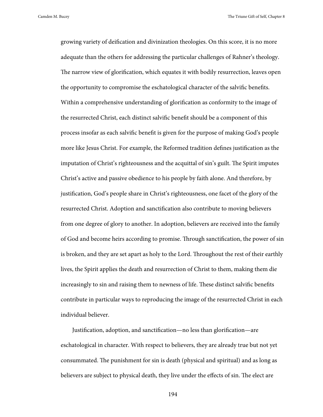growing variety of deification and divinization theologies. On this score, it is no more adequate than the others for addressing the particular challenges of Rahner's theology. The narrow view of glorification, which equates it with bodily resurrection, leaves open the opportunity to compromise the eschatological character of the salvific benefits. Within a comprehensive understanding of glorification as conformity to the image of the resurrected Christ, each distinct salvific benefit should be a component of this process insofar as each salvific benefit is given for the purpose of making God's people more like Jesus Christ. For example, the Reformed tradition defines justification as the imputation of Christ's righteousness and the acquittal of sin's guilt. The Spirit imputes Christ's active and passive obedience to his people by faith alone. And therefore, by justification, God's people share in Christ's righteousness, one facet of the glory of the resurrected Christ. Adoption and sanctification also contribute to moving believers from one degree of glory to another. In adoption, believers are received into the family of God and become heirs according to promise. Through sanctification, the power of sin is broken, and they are set apart as holy to the Lord. Throughout the rest of their earthly lives, the Spirit applies the death and resurrection of Christ to them, making them die increasingly to sin and raising them to newness of life. These distinct salvific benefits contribute in particular ways to reproducing the image of the resurrected Christ in each individual believer.

Justification, adoption, and sanctification—no less than glorification—are eschatological in character. With respect to believers, they are already true but not yet consummated. The punishment for sin is death (physical and spiritual) and as long as believers are subject to physical death, they live under the effects of sin. The elect are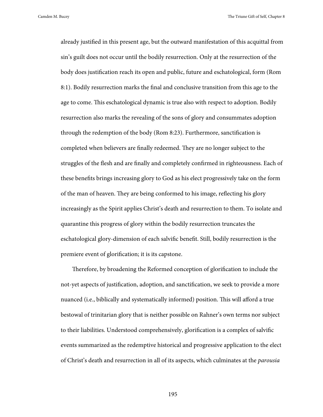already justified in this present age, but the outward manifestation of this acquittal from sin's guilt does not occur until the bodily resurrection. Only at the resurrection of the body does justification reach its open and public, future and eschatological, form (Rom 8:1). Bodily resurrection marks the final and conclusive transition from this age to the age to come. This eschatological dynamic is true also with respect to adoption. Bodily resurrection also marks the revealing of the sons of glory and consummates adoption through the redemption of the body (Rom 8:23). Furthermore, sanctification is completed when believers are finally redeemed. They are no longer subject to the struggles of the flesh and are finally and completely confirmed in righteousness. Each of these benefits brings increasing glory to God as his elect progressively take on the form of the man of heaven. They are being conformed to his image, reflecting his glory increasingly as the Spirit applies Christ's death and resurrection to them. To isolate and quarantine this progress of glory within the bodily resurrection truncates the eschatological glory-dimension of each salvific benefit. Still, bodily resurrection is the premiere event of glorification; it is its capstone.

Therefore, by broadening the Reformed conception of glorification to include the not-yet aspects of justification, adoption, and sanctification, we seek to provide a more nuanced (i.e., biblically and systematically informed) position. This will afford a true bestowal of trinitarian glory that is neither possible on Rahner's own terms nor subject to their liabilities. Understood comprehensively, glorification is a complex of salvific events summarized as the redemptive historical and progressive application to the elect of Christ's death and resurrection in all of its aspects, which culminates at the *parousia*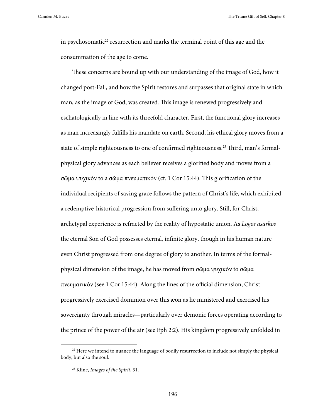in psychosomatic<sup>22</sup> resurrection and marks the terminal point of this age and the consummation of the age to come.

These concerns are bound up with our understanding of the image of God, how it changed post-Fall, and how the Spirit restores and surpasses that original state in which man, as the image of God, was created. This image is renewed progressively and eschatologically in line with its threefold character. First, the functional glory increases as man increasingly fulfills his mandate on earth. Second, his ethical glory moves from a state of simple righteousness to one of confirmed righteousness.<sup>23</sup> Third, man's formalphysical glory advances as each believer receives a glorified body and moves from a σῶμα ψυχικόν to a σῶμα πνευματικόν (cf. 1 Cor 15:44). This glorification of the individual recipients of saving grace follows the pattern of Christ's life, which exhibited a redemptive-historical progression from suffering unto glory. Still, for Christ, archetypal experience is refracted by the reality of hypostatic union. As *Logos asarkos* the eternal Son of God possesses eternal, infinite glory, though in his human nature even Christ progressed from one degree of glory to another. In terms of the formalphysical dimension of the image, he has moved from σῶμα ψυχικόν to σῶμα πνευματικόν (see 1 Cor 15:44). Along the lines of the official dimension, Christ progressively exercised dominion over this æon as he ministered and exercised his sovereignty through miracles—particularly over demonic forces operating according to the prince of the power of the air (see Eph 2:2). His kingdom progressively unfolded in

<sup>&</sup>lt;sup>22</sup> Here we intend to nuance the language of bodily resurrection to include not simply the physical body, but also the soul.

<sup>23</sup> Kline, *Images of the Spirit*, 31.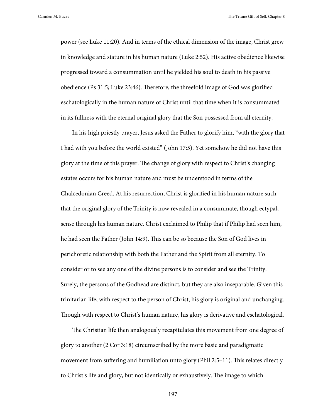power (see Luke 11:20). And in terms of the ethical dimension of the image, Christ grew in knowledge and stature in his human nature (Luke 2:52). His active obedience likewise progressed toward a consummation until he yielded his soul to death in his passive obedience (Ps 31:5; Luke 23:46). Therefore, the threefold image of God was glorified eschatologically in the human nature of Christ until that time when it is consummated in its fullness with the eternal original glory that the Son possessed from all eternity.

In his high priestly prayer, Jesus asked the Father to glorify him, "with the glory that I had with you before the world existed" (John 17:5). Yet somehow he did not have this glory at the time of this prayer. The change of glory with respect to Christ's changing estates occurs for his human nature and must be understood in terms of the Chalcedonian Creed. At his resurrection, Christ is glorified in his human nature such that the original glory of the Trinity is now revealed in a consummate, though ectypal, sense through his human nature. Christ exclaimed to Philip that if Philip had seen him, he had seen the Father (John 14:9). This can be so because the Son of God lives in perichoretic relationship with both the Father and the Spirit from all eternity. To consider or to see any one of the divine persons is to consider and see the Trinity. Surely, the persons of the Godhead are distinct, but they are also inseparable. Given this trinitarian life, with respect to the person of Christ, his glory is original and unchanging. Though with respect to Christ's human nature, his glory is derivative and eschatological.

The Christian life then analogously recapitulates this movement from one degree of glory to another (2 Cor 3:18) circumscribed by the more basic and paradigmatic movement from suffering and humiliation unto glory (Phil 2:5–11). This relates directly to Christ's life and glory, but not identically or exhaustively. The image to which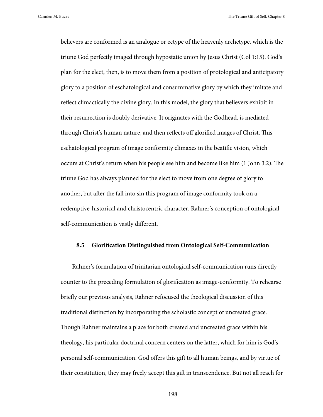believers are conformed is an analogue or ectype of the heavenly archetype, which is the triune God perfectly imaged through hypostatic union by Jesus Christ (Col 1:15). God's plan for the elect, then, is to move them from a position of protological and anticipatory glory to a position of eschatological and consummative glory by which they imitate and reflect climactically the divine glory. In this model, the glory that believers exhibit in their resurrection is doubly derivative. It originates with the Godhead, is mediated through Christ's human nature, and then reflects off glorified images of Christ. This eschatological program of image conformity climaxes in the beatific vision, which occurs at Christ's return when his people see him and become like him (1 John 3:2). The triune God has always planned for the elect to move from one degree of glory to another, but after the fall into sin this program of image conformity took on a redemptive-historical and christocentric character. Rahner's conception of ontological self-communication is vastly different.

#### **8.5 Glorification Distinguished from Ontological Self-Communication**

Rahner's formulation of trinitarian ontological self-communication runs directly counter to the preceding formulation of glorification as image-conformity. To rehearse briefly our previous analysis, Rahner refocused the theological discussion of this traditional distinction by incorporating the scholastic concept of uncreated grace. Though Rahner maintains a place for both created and uncreated grace within his theology, his particular doctrinal concern centers on the latter, which for him is God's personal self-communication. God offers this gift to all human beings, and by virtue of their constitution, they may freely accept this gift in transcendence. But not all reach for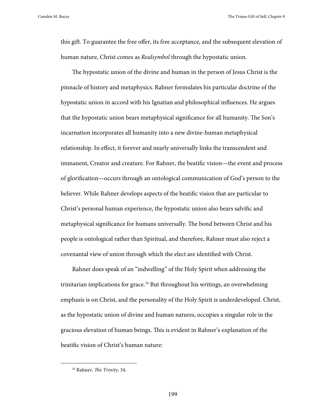this gift. To guarantee the free offer, its free acceptance, and the subsequent elevation of human nature, Christ comes as *Realsymbol* through the hypostatic union.

The hypostatic union of the divine and human in the person of Jesus Christ is the pinnacle of history and metaphysics. Rahner formulates his particular doctrine of the hypostatic union in accord with his Ignatian and philosophical influences. He argues that the hypostatic union bears metaphysical significance for all humanity. The Son's incarnation incorporates all humanity into a new divine-human metaphysical relationship. In effect, it forever and nearly universally links the transcendent and immanent, Creator and creature. For Rahner, the beatific vision—the event and process of glorification—occurs through an ontological communication of God's person to the believer. While Rahner develops aspects of the beatific vision that are particular to Christ's personal human experience, the hypostatic union also bears salvific and metaphysical significance for humans universally. The bond between Christ and his people is ontological rather than Spiritual, and therefore, Rahner must also reject a covenantal view of union through which the elect are identified with Christ.

Rahner does speak of an "indwelling" of the Holy Spirit when addressing the trinitarian implications for grace.<sup>24</sup> But throughout his writings, an overwhelming emphasis is on Christ, and the personality of the Holy Spirit is underdeveloped. Christ, as the hypostatic union of divine and human natures, occupies a singular role in the gracious elevation of human beings. This is evident in Rahner's explanation of the beatific vision of Christ's human nature:

 <sup>24</sup> Rahner, *The Trinity*, 34.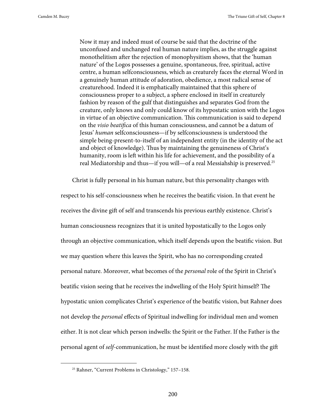Now it may and indeed must of course be said that the doctrine of the unconfused and unchanged real human nature implies, as the struggle against monothelitism after the rejection of monophysitism shows, that the 'human nature' of the Logos possesses a genuine, spontaneous, free, spiritual, active centre, a human selfconsciousness, which as creaturely faces the eternal Word in a genuinely human attitude of adoration, obedience, a most radical sense of creaturehood. Indeed it is emphatically maintained that this sphere of consciousness proper to a subject, a sphere enclosed in itself in creaturely fashion by reason of the gulf that distinguishes and separates God from the creature, only knows and only could know of its hypostatic union with the Logos in virtue of an objective communication. This communication is said to depend on the *visio beatifica* of this human consciousness, and cannot be a datum of Jesus' *human* selfconsciousness—if by selfconsciousness is understood the simple being-present-to-itself of an independent entity (in the identity of the act and object of knowledge). Thus by maintaining the genuineness of Christ's humanity, room is left within his life for achievement, and the possibility of a real Mediatorship and thus—if you will—of a real Messiahship is preserved.25

Christ is fully personal in his human nature, but this personality changes with

respect to his self-consciousness when he receives the beatific vision. In that event he receives the divine gift of self and transcends his previous earthly existence. Christ's human consciousness recognizes that it is united hypostatically to the Logos only through an objective communication, which itself depends upon the beatific vision. But we may question where this leaves the Spirit, who has no corresponding created personal nature. Moreover, what becomes of the *personal* role of the Spirit in Christ's beatific vision seeing that he receives the indwelling of the Holy Spirit himself? The hypostatic union complicates Christ's experience of the beatific vision, but Rahner does not develop the *personal* effects of Spiritual indwelling for individual men and women either. It is not clear which person indwells: the Spirit or the Father. If the Father is the personal agent of *self*-communication, he must be identified more closely with the gift

 <sup>25</sup> Rahner, "Current Problems in Christology," 157–158.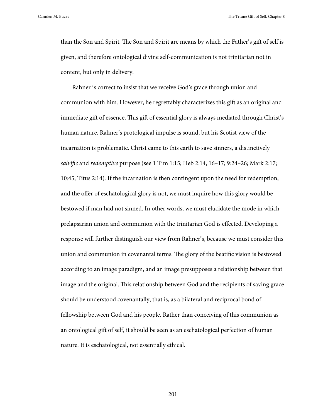than the Son and Spirit. The Son and Spirit are means by which the Father's gift of self is given, and therefore ontological divine self-communication is not trinitarian not in content, but only in delivery.

Rahner is correct to insist that we receive God's grace through union and communion with him. However, he regrettably characterizes this gift as an original and immediate gift of essence. This gift of essential glory is always mediated through Christ's human nature. Rahner's protological impulse is sound, but his Scotist view of the incarnation is problematic. Christ came to this earth to save sinners, a distinctively *salvific* and *redemptive* purpose (see 1 Tim 1:15; Heb 2:14, 16–17; 9:24–26; Mark 2:17; 10:45; Titus 2:14). If the incarnation is then contingent upon the need for redemption, and the offer of eschatological glory is not, we must inquire how this glory would be bestowed if man had not sinned. In other words, we must elucidate the mode in which prelapsarian union and communion with the trinitarian God is effected. Developing a response will further distinguish our view from Rahner's, because we must consider this union and communion in covenantal terms. The glory of the beatific vision is bestowed according to an image paradigm, and an image presupposes a relationship between that image and the original. This relationship between God and the recipients of saving grace should be understood covenantally, that is, as a bilateral and reciprocal bond of fellowship between God and his people. Rather than conceiving of this communion as an ontological gift of self, it should be seen as an eschatological perfection of human nature. It is eschatological, not essentially ethical.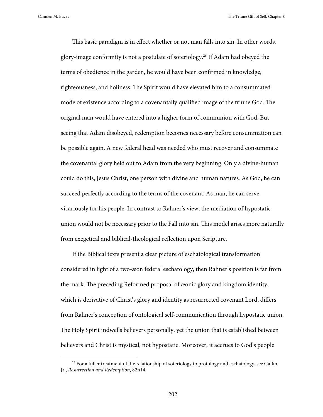This basic paradigm is in effect whether or not man falls into sin. In other words, glory-image conformity is not a postulate of soteriology.26 If Adam had obeyed the terms of obedience in the garden, he would have been confirmed in knowledge, righteousness, and holiness. The Spirit would have elevated him to a consummated mode of existence according to a covenantally qualified image of the triune God. The original man would have entered into a higher form of communion with God. But seeing that Adam disobeyed, redemption becomes necessary before consummation can be possible again. A new federal head was needed who must recover and consummate the covenantal glory held out to Adam from the very beginning. Only a divine-human could do this, Jesus Christ, one person with divine and human natures. As God, he can succeed perfectly according to the terms of the covenant. As man, he can serve vicariously for his people. In contrast to Rahner's view, the mediation of hypostatic union would not be necessary prior to the Fall into sin. This model arises more naturally from exegetical and biblical-theological reflection upon Scripture.

If the Biblical texts present a clear picture of eschatological transformation considered in light of a two-æon federal eschatology, then Rahner's position is far from the mark. The preceding Reformed proposal of æonic glory and kingdom identity, which is derivative of Christ's glory and identity as resurrected covenant Lord, differs from Rahner's conception of ontological self-communication through hypostatic union. The Holy Spirit indwells believers personally, yet the union that is established between believers and Christ is mystical, not hypostatic. Moreover, it accrues to God's people

<sup>&</sup>lt;sup>26</sup> For a fuller treatment of the relationship of soteriology to protology and eschatology, see Gaffin, Jr., *Resurrection and Redemption*, 82n14.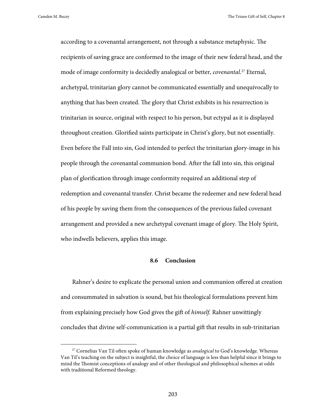according to a covenantal arrangement, not through a substance metaphysic. The recipients of saving grace are conformed to the image of their new federal head, and the mode of image conformity is decidedly analogical or better, *covenantal*. 27 Eternal, archetypal, trinitarian glory cannot be communicated essentially and unequivocally to anything that has been created. The glory that Christ exhibits in his resurrection is trinitarian in source, original with respect to his person, but ectypal as it is displayed throughout creation. Glorified saints participate in Christ's glory, but not essentially. Even before the Fall into sin, God intended to perfect the trinitarian glory-image in his people through the covenantal communion bond. After the fall into sin, this original plan of glorification through image conformity required an additional step of redemption and covenantal transfer. Christ became the redeemer and new federal head of his people by saving them from the consequences of the previous failed covenant arrangement and provided a new archetypal covenant image of glory. The Holy Spirit, who indwells believers, applies this image.

# **8.6 Conclusion**

Rahner's desire to explicate the personal union and communion offered at creation and consummated in salvation is sound, but his theological formulations prevent him from explaining precisely how God gives the gift of *himself.* Rahner unwittingly concludes that divine self-communication is a partial gift that results in sub-trinitarian

 <sup>27</sup> Cornelius Van Til often spoke of human knowledge as *analogical* to God's knowledge. Whereas Van Til's teaching on the subject is insightful, the choice of language is less than helpful since it brings to mind the Thomist conceptions of analogy and of other theological and philosophical schemes at odds with traditional Reformed theology.